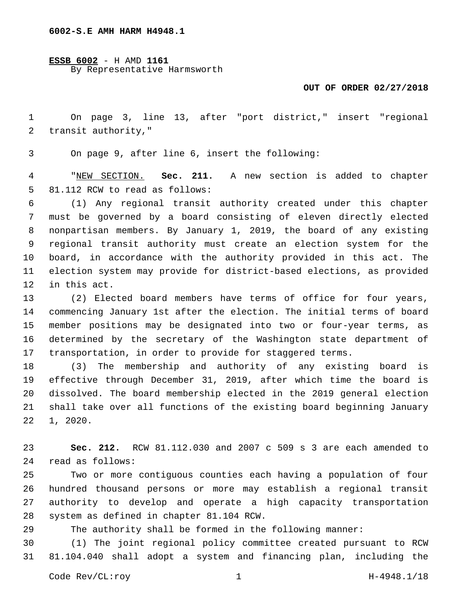**ESSB 6002** - H AMD **1161** By Representative Harmsworth

## **OUT OF ORDER 02/27/2018**

 On page 3, line 13, after "port district," insert "regional 2 transit authority,"

3 On page 9, after line 6, insert the following:

 "NEW SECTION. **Sec. 211.** A new section is added to chapter 5 81.112 RCW to read as follows:

 (1) Any regional transit authority created under this chapter must be governed by a board consisting of eleven directly elected nonpartisan members. By January 1, 2019, the board of any existing regional transit authority must create an election system for the board, in accordance with the authority provided in this act. The election system may provide for district-based elections, as provided 12 in this act.

 (2) Elected board members have terms of office for four years, commencing January 1st after the election. The initial terms of board member positions may be designated into two or four-year terms, as determined by the secretary of the Washington state department of transportation, in order to provide for staggered terms.

 (3) The membership and authority of any existing board is effective through December 31, 2019, after which time the board is dissolved. The board membership elected in the 2019 general election shall take over all functions of the existing board beginning January  $22 \quad 1, 2020.$ 

 **Sec. 212.** RCW 81.112.030 and 2007 c 509 s 3 are each amended to read as follows:24

 Two or more contiguous counties each having a population of four hundred thousand persons or more may establish a regional transit authority to develop and operate a high capacity transportation 28 system as defined in chapter 81.104 RCW.

The authority shall be formed in the following manner:

 (1) The joint regional policy committee created pursuant to RCW 81.104.040 shall adopt a system and financing plan, including the

Code Rev/CL:roy 1 1 H-4948.1/18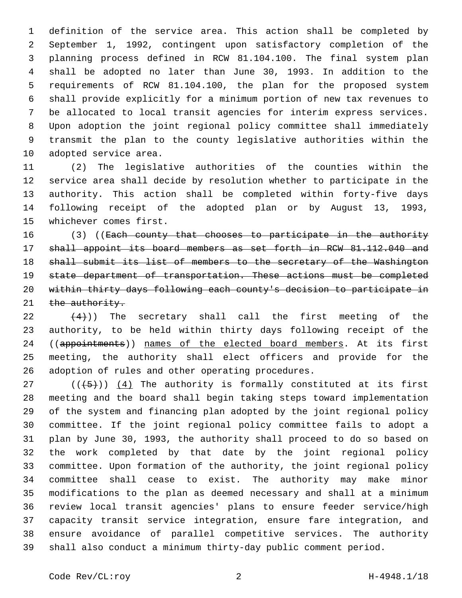definition of the service area. This action shall be completed by September 1, 1992, contingent upon satisfactory completion of the planning process defined in RCW 81.104.100. The final system plan shall be adopted no later than June 30, 1993. In addition to the requirements of RCW 81.104.100, the plan for the proposed system shall provide explicitly for a minimum portion of new tax revenues to be allocated to local transit agencies for interim express services. Upon adoption the joint regional policy committee shall immediately transmit the plan to the county legislative authorities within the 10 adopted service area.

 (2) The legislative authorities of the counties within the service area shall decide by resolution whether to participate in the authority. This action shall be completed within forty-five days following receipt of the adopted plan or by August 13, 1993, 15 whichever comes first.

16 (3) ((Each county that chooses to participate in the authority shall appoint its board members as set forth in RCW 81.112.040 and shall submit its list of members to the secretary of the Washington state department of transportation. These actions must be completed within thirty days following each county's decision to participate in 21 the authority.

 $(22 \t+4)$ ) The secretary shall call the first meeting of the authority, to be held within thirty days following receipt of the 24 ((appointments)) names of the elected board members. At its first meeting, the authority shall elect officers and provide for the 26 adoption of rules and other operating procedures.

 (( $(45)$ )) (4) The authority is formally constituted at its first meeting and the board shall begin taking steps toward implementation of the system and financing plan adopted by the joint regional policy committee. If the joint regional policy committee fails to adopt a plan by June 30, 1993, the authority shall proceed to do so based on the work completed by that date by the joint regional policy committee. Upon formation of the authority, the joint regional policy committee shall cease to exist. The authority may make minor modifications to the plan as deemed necessary and shall at a minimum review local transit agencies' plans to ensure feeder service/high capacity transit service integration, ensure fare integration, and ensure avoidance of parallel competitive services. The authority shall also conduct a minimum thirty-day public comment period.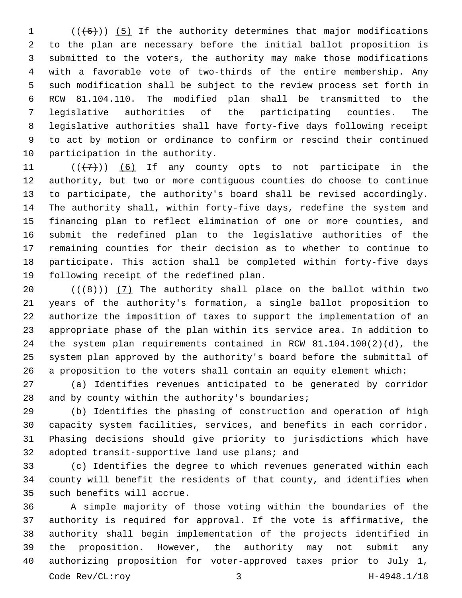(( $(6)$ )) (5) If the authority determines that major modifications to the plan are necessary before the initial ballot proposition is submitted to the voters, the authority may make those modifications with a favorable vote of two-thirds of the entire membership. Any such modification shall be subject to the review process set forth in RCW 81.104.110. The modified plan shall be transmitted to the legislative authorities of the participating counties. The legislative authorities shall have forty-five days following receipt to act by motion or ordinance to confirm or rescind their continued 10 participation in the authority.

 $((+7+))$  (6) If any county opts to not participate in the authority, but two or more contiguous counties do choose to continue to participate, the authority's board shall be revised accordingly. The authority shall, within forty-five days, redefine the system and financing plan to reflect elimination of one or more counties, and submit the redefined plan to the legislative authorities of the remaining counties for their decision as to whether to continue to participate. This action shall be completed within forty-five days 19 following receipt of the redefined plan.

 $((+8))$   $(7)$  The authority shall place on the ballot within two years of the authority's formation, a single ballot proposition to authorize the imposition of taxes to support the implementation of an appropriate phase of the plan within its service area. In addition to the system plan requirements contained in RCW 81.104.100(2)(d), the system plan approved by the authority's board before the submittal of a proposition to the voters shall contain an equity element which:

 (a) Identifies revenues anticipated to be generated by corridor 28 and by county within the authority's boundaries;

 (b) Identifies the phasing of construction and operation of high capacity system facilities, services, and benefits in each corridor. Phasing decisions should give priority to jurisdictions which have 32 adopted transit-supportive land use plans; and

 (c) Identifies the degree to which revenues generated within each county will benefit the residents of that county, and identifies when 35 such benefits will accrue.

 A simple majority of those voting within the boundaries of the authority is required for approval. If the vote is affirmative, the authority shall begin implementation of the projects identified in the proposition. However, the authority may not submit any authorizing proposition for voter-approved taxes prior to July 1, Code Rev/CL:roy 3 H-4948.1/18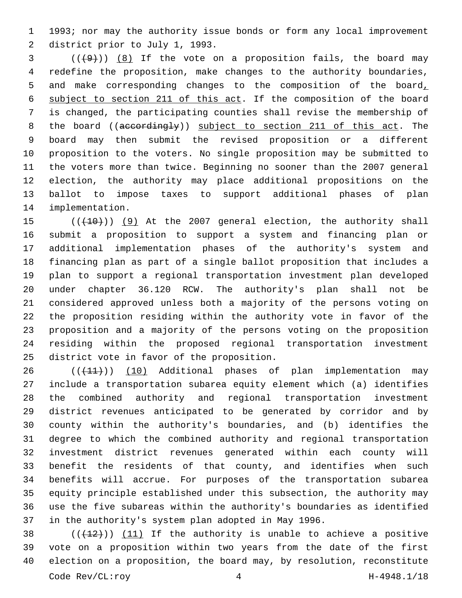1993; nor may the authority issue bonds or form any local improvement 2 district prior to July 1, 1993.

 ( $(\frac{49}{})$ )  $\frac{8}{15}$  If the vote on a proposition fails, the board may redefine the proposition, make changes to the authority boundaries, and make corresponding changes to the composition of the board, subject to section 211 of this act. If the composition of the board is changed, the participating counties shall revise the membership of 8 the board ((accordingly)) subject to section 211 of this act. The board may then submit the revised proposition or a different proposition to the voters. No single proposition may be submitted to the voters more than twice. Beginning no sooner than the 2007 general election, the authority may place additional propositions on the ballot to impose taxes to support additional phases of plan 14 implementation.

15 (( $(10)$ ) (9) At the 2007 general election, the authority shall submit a proposition to support a system and financing plan or additional implementation phases of the authority's system and financing plan as part of a single ballot proposition that includes a plan to support a regional transportation investment plan developed under chapter 36.120 RCW. The authority's plan shall not be considered approved unless both a majority of the persons voting on the proposition residing within the authority vote in favor of the proposition and a majority of the persons voting on the proposition residing within the proposed regional transportation investment 25 district vote in favor of the proposition.

26 (( $(11)$ )) (10) Additional phases of plan implementation may include a transportation subarea equity element which (a) identifies the combined authority and regional transportation investment district revenues anticipated to be generated by corridor and by county within the authority's boundaries, and (b) identifies the degree to which the combined authority and regional transportation investment district revenues generated within each county will benefit the residents of that county, and identifies when such benefits will accrue. For purposes of the transportation subarea equity principle established under this subsection, the authority may use the five subareas within the authority's boundaries as identified in the authority's system plan adopted in May 1996.

 $((+12))$  (11) If the authority is unable to achieve a positive vote on a proposition within two years from the date of the first election on a proposition, the board may, by resolution, reconstitute Code Rev/CL:roy 4 H-4948.1/18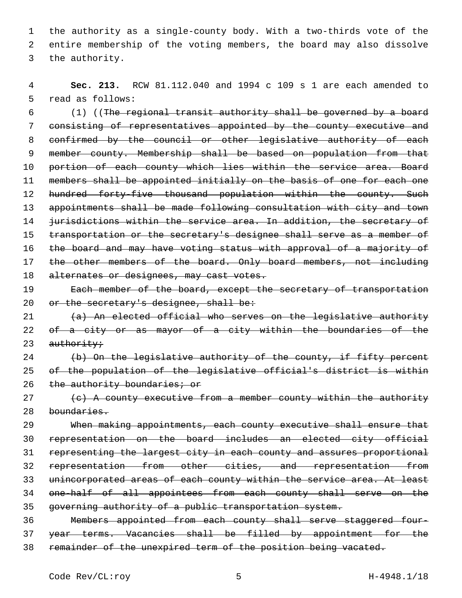1 the authority as a single-county body. With a two-thirds vote of the 2 entire membership of the voting members, the board may also dissolve 3 the authority.

4 **Sec. 213.** RCW 81.112.040 and 1994 c 109 s 1 are each amended to 5 read as follows:

6 (1) ((The regional transit authority shall be governed by a board 7 consisting of representatives appointed by the county executive and 8 confirmed by the council or other legislative authority of each 9 member county. Membership shall be based on population from that 10 portion of each county which lies within the service area. Board 11 members shall be appointed initially on the basis of one for each one 12 hundred forty-five thousand population within the county. Such 13 appointments shall be made following consultation with city and town 14 jurisdictions within the service area. In addition, the secretary of 15 transportation or the secretary's designee shall serve as a member of 16 the board and may have voting status with approval of a majority of 17 the other members of the board. Only board members, not including 18 alternates or designees, may cast votes. 19 Each member of the board, except the secretary of transportation

20 or the secretary's designee, shall be:

21 (a) An elected official who serves on the legislative authority 22 of a city or as mayor of a city within the boundaries of the  $23$  authority;

24 (b) On the legislative authority of the county, if fifty percent 25 of the population of the legislative official's district is within 26 the authority boundaries; or

 $27$  (c) A county executive from a member county within the authority 28 boundaries.

 When making appointments, each county executive shall ensure that representation on the board includes an elected city official representing the largest city in each county and assures proportional representation from other cities, and representation from unincorporated areas of each county within the service area. At least one-half of all appointees from each county shall serve on the governing authority of a public transportation system.

36 Members appointed from each county shall serve staggered four-37 year terms. Vacancies shall be filled by appointment for the 38 remainder of the unexpired term of the position being vacated.